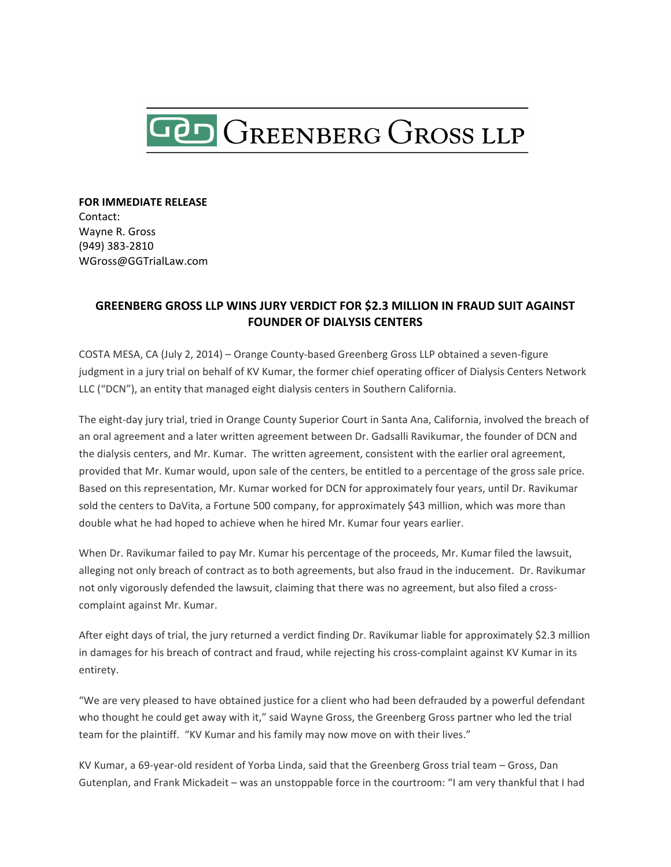

**FOR IMMEDIATE RELEASE** Contact: Wayne R. Gross (949) 383-2810 WGross@GGTrialLaw.com

## **GREENBERG GROSS LLP WINS JURY VERDICT FOR \$2.3 MILLION IN FRAUD SUIT AGAINST FOUNDER OF DIALYSIS CENTERS**

COSTA MESA, CA (July 2, 2014) – Orange County-based Greenberg Gross LLP obtained a seven-figure judgment in a jury trial on behalf of KV Kumar, the former chief operating officer of Dialysis Centers Network LLC ("DCN"), an entity that managed eight dialysis centers in Southern California.

The eight-day jury trial, tried in Orange County Superior Court in Santa Ana, California, involved the breach of an oral agreement and a later written agreement between Dr. Gadsalli Ravikumar, the founder of DCN and the dialysis centers, and Mr. Kumar. The written agreement, consistent with the earlier oral agreement, provided that Mr. Kumar would, upon sale of the centers, be entitled to a percentage of the gross sale price. Based on this representation, Mr. Kumar worked for DCN for approximately four years, until Dr. Ravikumar sold the centers to DaVita, a Fortune 500 company, for approximately \$43 million, which was more than double what he had hoped to achieve when he hired Mr. Kumar four years earlier.

When Dr. Ravikumar failed to pay Mr. Kumar his percentage of the proceeds, Mr. Kumar filed the lawsuit, alleging not only breach of contract as to both agreements, but also fraud in the inducement. Dr. Ravikumar not only vigorously defended the lawsuit, claiming that there was no agreement, but also filed a crosscomplaint against Mr. Kumar.

After eight days of trial, the jury returned a verdict finding Dr. Ravikumar liable for approximately \$2.3 million in damages for his breach of contract and fraud, while rejecting his cross-complaint against KV Kumar in its entirety. 

"We are very pleased to have obtained justice for a client who had been defrauded by a powerful defendant who thought he could get away with it," said Wayne Gross, the Greenberg Gross partner who led the trial team for the plaintiff. "KV Kumar and his family may now move on with their lives."

KV Kumar, a 69-year-old resident of Yorba Linda, said that the Greenberg Gross trial team - Gross, Dan Gutenplan, and Frank Mickadeit – was an unstoppable force in the courtroom: "I am very thankful that I had